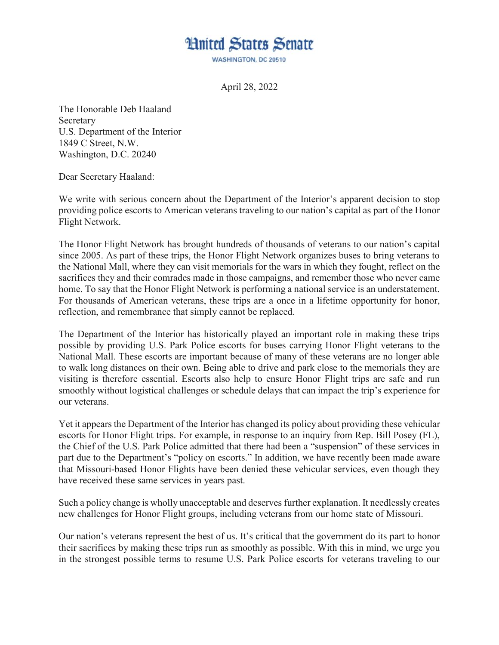## **Hnited States Senate**

WASHINGTON, DC 20510

April 28, 2022

The Honorable Deb Haaland Secretary U.S. Department of the Interior 1849 C Street, N.W. Washington, D.C. 20240

Dear Secretary Haaland:

We write with serious concern about the Department of the Interior's apparent decision to stop providing police escorts to American veterans traveling to our nation's capital as part of the Honor Flight Network.

The Honor Flight Network has brought hundreds of thousands of veterans to our nation's capital since 2005. As part of these trips, the Honor Flight Network organizes buses to bring veterans to the National Mall, where they can visit memorials for the wars in which they fought, reflect on the sacrifices they and their comrades made in those campaigns, and remember those who never came home. To say that the Honor Flight Network is performing a national service is an understatement. For thousands of American veterans, these trips are a once in a lifetime opportunity for honor, reflection, and remembrance that simply cannot be replaced.

The Department of the Interior has historically played an important role in making these trips possible by providing U.S. Park Police escorts for buses carrying Honor Flight veterans to the National Mall. These escorts are important because of many of these veterans are no longer able to walk long distances on their own. Being able to drive and park close to the memorials they are visiting is therefore essential. Escorts also help to ensure Honor Flight trips are safe and run smoothly without logistical challenges or schedule delays that can impact the trip's experience for our veterans.

Yet it appears the Department of the Interior has changed its policy about providing these vehicular escorts for Honor Flight trips. For example, in response to an inquiry from Rep. Bill Posey (FL), the Chief of the U.S. Park Police admitted that there had been a "suspension" of these services in part due to the Department's "policy on escorts." In addition, we have recently been made aware that Missouri-based Honor Flights have been denied these vehicular services, even though they have received these same services in years past.

Such a policy change is wholly unacceptable and deserves further explanation. It needlessly creates new challenges for Honor Flight groups, including veterans from our home state of Missouri.

Our nation's veterans represent the best of us. It's critical that the government do its part to honor their sacrifices by making these trips run as smoothly as possible. With this in mind, we urge you in the strongest possible terms to resume U.S. Park Police escorts for veterans traveling to our